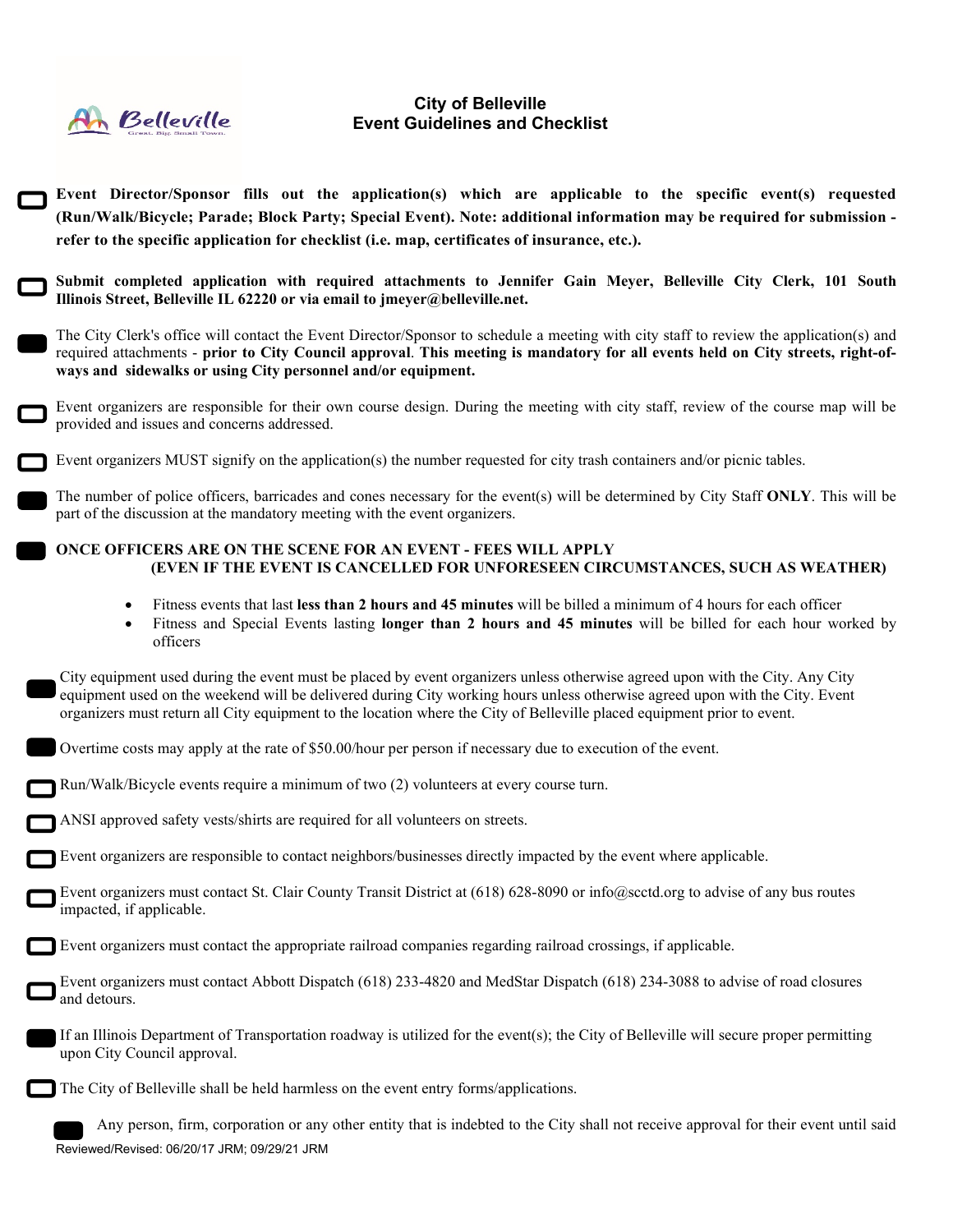

## **City of Belleville Event Guidelines and Checklist**

| Event Director/Sponsor fills out the application(s) which are applicable to the specific event(s) requested<br>(Run/Walk/Bicycle; Parade; Block Party; Special Event). Note: additional information may be required for submission -<br>refer to the specific application for checklist (i.e. map, certificates of insurance, etc.).                                                   |
|----------------------------------------------------------------------------------------------------------------------------------------------------------------------------------------------------------------------------------------------------------------------------------------------------------------------------------------------------------------------------------------|
| Submit completed application with required attachments to Jennifer Gain Meyer, Belleville City Clerk, 101 South<br>Illinois Street, Belleville IL 62220 or via email to jmeyer@belleville.net.                                                                                                                                                                                         |
| The City Clerk's office will contact the Event Director/Sponsor to schedule a meeting with city staff to review the application(s) and<br>required attachments - prior to City Council approval. This meeting is mandatory for all events held on City streets, right-of-<br>ways and sidewalks or using City personnel and/or equipment.                                              |
| Event organizers are responsible for their own course design. During the meeting with city staff, review of the course map will be<br>provided and issues and concerns addressed.                                                                                                                                                                                                      |
| Event organizers MUST signify on the application(s) the number requested for city trash containers and/or picnic tables.                                                                                                                                                                                                                                                               |
| The number of police officers, barricades and cones necessary for the event(s) will be determined by City Staff ONLY. This will be<br>part of the discussion at the mandatory meeting with the event organizers.                                                                                                                                                                       |
| ONCE OFFICERS ARE ON THE SCENE FOR AN EVENT - FEES WILL APPLY<br>(EVEN IF THE EVENT IS CANCELLED FOR UNFORESEEN CIRCUMSTANCES, SUCH AS WEATHER)                                                                                                                                                                                                                                        |
| Fitness events that last less than 2 hours and 45 minutes will be billed a minimum of 4 hours for each officer<br>$\bullet$<br>Fitness and Special Events lasting longer than 2 hours and 45 minutes will be billed for each hour worked by<br>$\bullet$<br>officers                                                                                                                   |
| City equipment used during the event must be placed by event organizers unless otherwise agreed upon with the City. Any City<br>equipment used on the weekend will be delivered during City working hours unless otherwise agreed upon with the City. Event<br>organizers must return all City equipment to the location where the City of Belleville placed equipment prior to event. |
| Overtime costs may apply at the rate of \$50.00/hour per person if necessary due to execution of the event.                                                                                                                                                                                                                                                                            |
| Run/Walk/Bicycle events require a minimum of two (2) volunteers at every course turn.                                                                                                                                                                                                                                                                                                  |
| ANSI approved safety vests/shirts are required for all volunteers on streets.                                                                                                                                                                                                                                                                                                          |
| Event organizers are responsible to contact neighbors/businesses directly impacted by the event where applicable.                                                                                                                                                                                                                                                                      |
| Event organizers must contact St. Clair County Transit District at (618) 628-8090 or info@scctd.org to advise of any bus routes<br>impacted, if applicable.                                                                                                                                                                                                                            |
| Event organizers must contact the appropriate railroad companies regarding railroad crossings, if applicable.                                                                                                                                                                                                                                                                          |
| Event organizers must contact Abbott Dispatch (618) 233-4820 and MedStar Dispatch (618) 234-3088 to advise of road closures<br>and detours.                                                                                                                                                                                                                                            |
| If an Illinois Department of Transportation roadway is utilized for the event(s); the City of Belleville will secure proper permitting<br>upon City Council approval.                                                                                                                                                                                                                  |
| The City of Belleville shall be held harmless on the event entry forms/applications.                                                                                                                                                                                                                                                                                                   |
| Any person, firm, corporation or any other entity that is indebted to the City shall not receive approval for their event until said<br>Reviewed/Revised: 06/20/17 JRM; 09/29/21 JRM                                                                                                                                                                                                   |